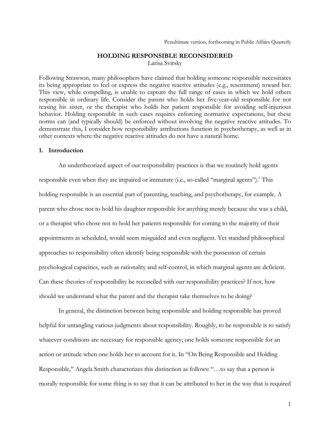# **HOLDING RESPONSIBLE RECONSIDERED** Larisa Svirsky

Following Strawson, many philosophers have claimed that holding someone responsible necessitates its being appropriate to feel or express the negative reactive attitudes (e.g., resentment) toward her. This view, while compelling, is unable to capture the full range of cases in which we hold others responsible in ordinary life. Consider the parent who holds her five-year-old responsible for not teasing his sister, or the therapist who holds her patient responsible for avoiding self-injurious behavior. Holding responsible in such cases requires enforcing normative expectations, but these norms can (and typically should) be enforced without involving the negative reactive attitudes. To demonstrate this, I consider how responsibility attributions function in psychotherapy, as well as in other contexts where the negative reactive attitudes do not have a natural home.

#### **1. Introduction**

An undertheorized aspect of our responsibility practices is that we routinely hold agents responsible even when they are impaired or immature (i.e., so-called "marginal agents").<sup>1</sup> This holding responsible is an essential part of parenting, teaching, and psychotherapy, for example. A parent who chose not to hold his daughter responsible for anything merely because she was a child, or a therapist who chose not to hold her patients responsible for coming to the majority of their appointments as scheduled, would seem misguided and even negligent. Yet standard philosophical approaches to responsibility often identify being responsible with the possession of certain psychological capacities, such as rationality and self-control, in which marginal agents are deficient. Can these theories of responsibility be reconciled with our responsibility practices? If not, how should we understand what the parent and the therapist take themselves to be doing?

In general, the distinction between being responsible and holding responsible has proved helpful for untangling various judgments about responsibility. Roughly, to be responsible is to satisfy whatever conditions are necessary for responsible agency; one holds someone responsible for an action or attitude when one holds her to account for it. In "On Being Responsible and Holding Responsible," Angela Smith characterizes this distinction as follows: "…to say that a person is morally responsible for some thing is to say that it can be attributed to her in the way that is required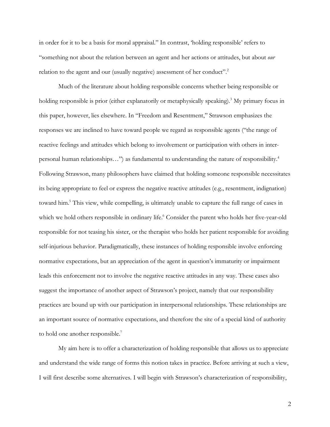in order for it to be a basis for moral appraisal." In contrast, 'holding responsible' refers to "something not about the relation between an agent and her actions or attitudes, but about *our* relation to the agent and our (usually negative) assessment of her conduct".<sup>2</sup>

Much of the literature about holding responsible concerns whether being responsible or holding responsible is prior (either explanatorily or metaphysically speaking).<sup>3</sup> My primary focus in this paper, however, lies elsewhere. In "Freedom and Resentment," Strawson emphasizes the responses we are inclined to have toward people we regard as responsible agents ("the range of reactive feelings and attitudes which belong to involvement or participation with others in interpersonal human relationships…") as fundamental to understanding the nature of responsibility. 4 Following Strawson, many philosophers have claimed that holding someone responsible necessitates its being appropriate to feel or express the negative reactive attitudes (e.g., resentment, indignation) toward him.5 This view, while compelling, is ultimately unable to capture the full range of cases in which we hold others responsible in ordinary life. <sup>6</sup> Consider the parent who holds her five-year-old responsible for not teasing his sister, or the therapist who holds her patient responsible for avoiding self-injurious behavior. Paradigmatically, these instances of holding responsible involve enforcing normative expectations, but an appreciation of the agent in question's immaturity or impairment leads this enforcement not to involve the negative reactive attitudes in any way. These cases also suggest the importance of another aspect of Strawson's project, namely that our responsibility practices are bound up with our participation in interpersonal relationships. These relationships are an important source of normative expectations, and therefore the site of a special kind of authority to hold one another responsible.<sup>7</sup>

My aim here is to offer a characterization of holding responsible that allows us to appreciate and understand the wide range of forms this notion takes in practice. Before arriving at such a view, I will first describe some alternatives. I will begin with Strawson's characterization of responsibility,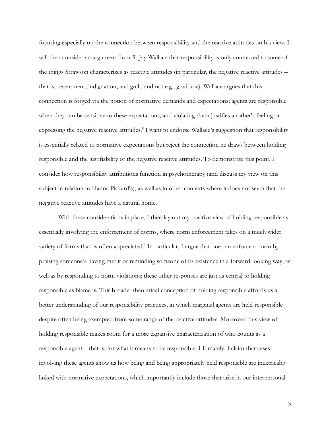focusing especially on the connection between responsibility and the reactive attitudes on his view. I will then consider an argument from R. Jay Wallace that responsibility is only connected to some of the things Strawson characterizes as reactive attitudes (in particular, the negative reactive attitudes – that is, resentment, indignation, and guilt, and not e.g., gratitude). Wallace argues that this connection is forged via the notion of normative demands and expectations; agents are responsible when they can be sensitive to these expectations, and violating them justifies another's feeling or expressing the negative reactive attitudes.<sup>8</sup> I want to endorse Wallace's suggestion that responsibility is essentially related to normative expectations but reject the connection he draws between holding responsible and the justifiability of the negative reactive attitudes. To demonstrate this point, I consider how responsibility attributions function in psychotherapy (and discuss my view on this subject in relation to Hanna Pickard's), as well as in other contexts where it does not seem that the negative reactive attitudes have a natural home.

With these considerations in place, I then lay out my positive view of holding responsible as essentially involving the enforcement of norms, where norm enforcement takes on a much wider variety of forms than is often appreciated.<sup>9</sup> In particular, I argue that one can enforce a norm by praising someone's having met it or reminding someone of its existence in a forward-looking way, as well as by responding to norm violations; these other responses are just as central to holding responsible as blame is. This broader theoretical conception of holding responsible affords us a better understanding of our responsibility practices, in which marginal agents are held responsible despite often being exempted from some range of the reactive attitudes. Moreover, this view of holding responsible makes room for a more expansive characterization of who counts as a responsible agent – that is, for what it means to be responsible. Ultimately, I claim that cases involving these agents show us how being and being appropriately held responsible are inextricably linked with normative expectations, which importantly include those that arise in our interpersonal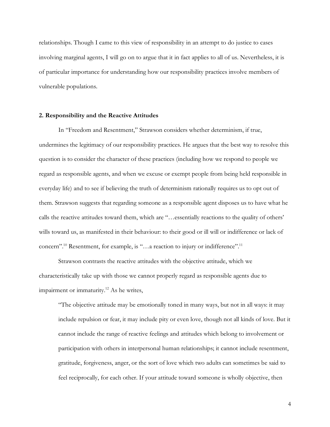relationships. Though I came to this view of responsibility in an attempt to do justice to cases involving marginal agents, I will go on to argue that it in fact applies to all of us. Nevertheless, it is of particular importance for understanding how our responsibility practices involve members of vulnerable populations.

# **2. Responsibility and the Reactive Attitudes**

In "Freedom and Resentment," Strawson considers whether determinism, if true, undermines the legitimacy of our responsibility practices. He argues that the best way to resolve this question is to consider the character of these practices (including how we respond to people we regard as responsible agents, and when we excuse or exempt people from being held responsible in everyday life) and to see if believing the truth of determinism rationally requires us to opt out of them. Strawson suggests that regarding someone as a responsible agent disposes us to have what he calls the reactive attitudes toward them, which are "…essentially reactions to the quality of others' wills toward us, as manifested in their behaviour: to their good or ill will or indifference or lack of concern".<sup>10</sup> Resentment, for example, is "...a reaction to injury or indifference".<sup>11</sup>

Strawson contrasts the reactive attitudes with the objective attitude, which we characteristically take up with those we cannot properly regard as responsible agents due to impairment or immaturity.<sup>12</sup> As he writes,

"The objective attitude may be emotionally toned in many ways, but not in all ways: it may include repulsion or fear, it may include pity or even love, though not all kinds of love. But it cannot include the range of reactive feelings and attitudes which belong to involvement or participation with others in interpersonal human relationships; it cannot include resentment, gratitude, forgiveness, anger, or the sort of love which two adults can sometimes be said to feel reciprocally, for each other. If your attitude toward someone is wholly objective, then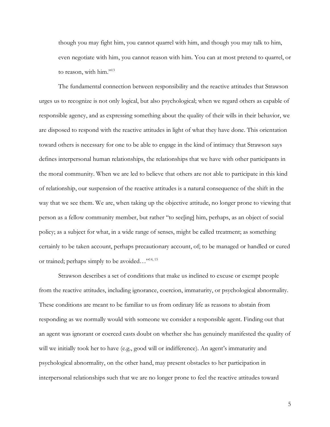though you may fight him, you cannot quarrel with him, and though you may talk to him, even negotiate with him, you cannot reason with him. You can at most pretend to quarrel, or to reason, with him."<sup>13</sup>

The fundamental connection between responsibility and the reactive attitudes that Strawson urges us to recognize is not only logical, but also psychological; when we regard others as capable of responsible agency, and as expressing something about the quality of their wills in their behavior, we are disposed to respond with the reactive attitudes in light of what they have done. This orientation toward others is necessary for one to be able to engage in the kind of intimacy that Strawson says defines interpersonal human relationships, the relationships that we have with other participants in the moral community. When we are led to believe that others are not able to participate in this kind of relationship, our suspension of the reactive attitudes is a natural consequence of the shift in the way that we see them. We are, when taking up the objective attitude, no longer prone to viewing that person as a fellow community member, but rather "to see[ing] him, perhaps, as an object of social policy; as a subject for what, in a wide range of senses, might be called treatment; as something certainly to be taken account, perhaps precautionary account, of; to be managed or handled or cured or trained; perhaps simply to be avoided…"14, 15

Strawson describes a set of conditions that make us inclined to excuse or exempt people from the reactive attitudes, including ignorance, coercion, immaturity, or psychological abnormality. These conditions are meant to be familiar to us from ordinary life as reasons to abstain from responding as we normally would with someone we consider a responsible agent. Finding out that an agent was ignorant or coerced casts doubt on whether she has genuinely manifested the quality of will we initially took her to have (e.g., good will or indifference). An agent's immaturity and psychological abnormality, on the other hand, may present obstacles to her participation in interpersonal relationships such that we are no longer prone to feel the reactive attitudes toward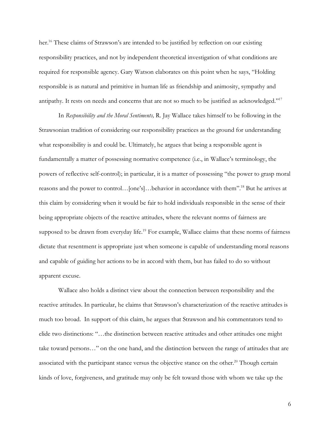her. <sup>16</sup> These claims of Strawson's are intended to be justified by reflection on our existing responsibility practices, and not by independent theoretical investigation of what conditions are required for responsible agency. Gary Watson elaborates on this point when he says, "Holding responsible is as natural and primitive in human life as friendship and animosity, sympathy and antipathy. It rests on needs and concerns that are not so much to be justified as acknowledged."17

In *Responsibility and the Moral Sentiments,* R. Jay Wallace takes himself to be following in the Strawsonian tradition of considering our responsibility practices as the ground for understanding what responsibility is and could be. Ultimately, he argues that being a responsible agent is fundamentally a matter of possessing normative competence (i.e., in Wallace's terminology, the powers of reflective self-control); in particular, it is a matter of possessing "the power to grasp moral reasons and the power to control…[one's]…behavior in accordance with them".18 But he arrives at this claim by considering when it would be fair to hold individuals responsible in the sense of their being appropriate objects of the reactive attitudes, where the relevant norms of fairness are supposed to be drawn from everyday life.<sup>19</sup> For example, Wallace claims that these norms of fairness dictate that resentment is appropriate just when someone is capable of understanding moral reasons and capable of guiding her actions to be in accord with them, but has failed to do so without apparent excuse.

Wallace also holds a distinct view about the connection between responsibility and the reactive attitudes. In particular, he claims that Strawson's characterization of the reactive attitudes is much too broad. In support of this claim, he argues that Strawson and his commentators tend to elide two distinctions: "…the distinction between reactive attitudes and other attitudes one might take toward persons…" on the one hand, and the distinction between the range of attitudes that are associated with the participant stance versus the objective stance on the other.<sup>20</sup> Though certain kinds of love, forgiveness, and gratitude may only be felt toward those with whom we take up the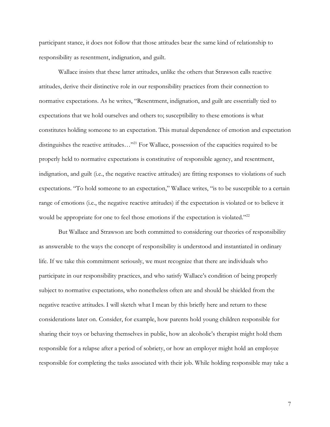participant stance, it does not follow that those attitudes bear the same kind of relationship to responsibility as resentment, indignation, and guilt.

Wallace insists that these latter attitudes, unlike the others that Strawson calls reactive attitudes, derive their distinctive role in our responsibility practices from their connection to normative expectations. As he writes, "Resentment, indignation, and guilt are essentially tied to expectations that we hold ourselves and others to; susceptibility to these emotions is what constitutes holding someone to an expectation. This mutual dependence of emotion and expectation distinguishes the reactive attitudes..."<sup>21</sup> For Wallace, possession of the capacities required to be properly held to normative expectations is constitutive of responsible agency, and resentment, indignation, and guilt (i.e., the negative reactive attitudes) are fitting responses to violations of such expectations. "To hold someone to an expectation," Wallace writes, "is to be susceptible to a certain range of emotions (i.e., the negative reactive attitudes) if the expectation is violated or to believe it would be appropriate for one to feel those emotions if the expectation is violated."<sup>22</sup>

But Wallace and Strawson are both committed to considering our theories of responsibility as answerable to the ways the concept of responsibility is understood and instantiated in ordinary life. If we take this commitment seriously, we must recognize that there are individuals who participate in our responsibility practices, and who satisfy Wallace's condition of being properly subject to normative expectations, who nonetheless often are and should be shielded from the negative reactive attitudes. I will sketch what I mean by this briefly here and return to these considerations later on. Consider, for example, how parents hold young children responsible for sharing their toys or behaving themselves in public, how an alcoholic's therapist might hold them responsible for a relapse after a period of sobriety, or how an employer might hold an employee responsible for completing the tasks associated with their job. While holding responsible may take a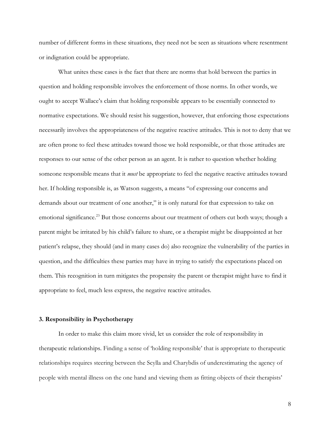number of different forms in these situations, they need not be seen as situations where resentment or indignation could be appropriate.

What unites these cases is the fact that there are norms that hold between the parties in question and holding responsible involves the enforcement of those norms. In other words, we ought to accept Wallace's claim that holding responsible appears to be essentially connected to normative expectations. We should resist his suggestion, however, that enforcing those expectations necessarily involves the appropriateness of the negative reactive attitudes. This is not to deny that we are often prone to feel these attitudes toward those we hold responsible, or that those attitudes are responses to our sense of the other person as an agent. It is rather to question whether holding someone responsible means that it *must* be appropriate to feel the negative reactive attitudes toward her. If holding responsible is, as Watson suggests, a means "of expressing our concerns and demands about our treatment of one another," it is only natural for that expression to take on emotional significance.<sup>23</sup> But those concerns about our treatment of others cut both ways; though a parent might be irritated by his child's failure to share, or a therapist might be disappointed at her patient's relapse, they should (and in many cases do) also recognize the vulnerability of the parties in question, and the difficulties these parties may have in trying to satisfy the expectations placed on them. This recognition in turn mitigates the propensity the parent or therapist might have to find it appropriate to feel, much less express, the negative reactive attitudes.

# **3. Responsibility in Psychotherapy**

In order to make this claim more vivid, let us consider the role of responsibility in therapeutic relationships. Finding a sense of 'holding responsible' that is appropriate to therapeutic relationships requires steering between the Scylla and Charybdis of underestimating the agency of people with mental illness on the one hand and viewing them as fitting objects of their therapists'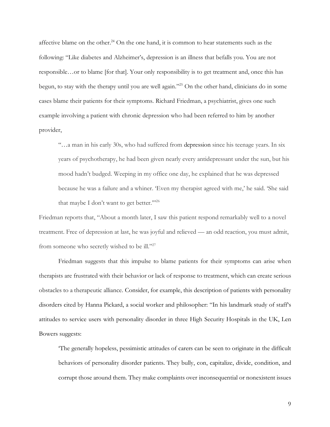affective blame on the other.<sup>24</sup> On the one hand, it is common to hear statements such as the following: "Like diabetes and Alzheimer's, depression is an illness that befalls you. You are not responsible…or to blame [for that]. Your only responsibility is to get treatment and, once this has begun, to stay with the therapy until you are well again."25 On the other hand, clinicians do in some cases blame their patients for their symptoms. Richard Friedman, a psychiatrist, gives one such example involving a patient with chronic depression who had been referred to him by another provider,

"…a man in his early 30s, who had suffered from depression since his teenage years. In six years of psychotherapy, he had been given nearly every antidepressant under the sun, but his mood hadn't budged. Weeping in my office one day, he explained that he was depressed because he was a failure and a whiner. 'Even my therapist agreed with me,' he said. 'She said that maybe I don't want to get better." $2^{26}$ 

Friedman reports that, "About a month later, I saw this patient respond remarkably well to a novel treatment. Free of depression at last, he was joyful and relieved — an odd reaction, you must admit, from someone who secretly wished to be ill."<sup>27</sup>

Friedman suggests that this impulse to blame patients for their symptoms can arise when therapists are frustrated with their behavior or lack of response to treatment, which can create serious obstacles to a therapeutic alliance. Consider, for example, this description of patients with personality disorders cited by Hanna Pickard, a social worker and philosopher: "In his landmark study of staff's attitudes to service users with personality disorder in three High Security Hospitals in the UK, Len Bowers suggests:

'The generally hopeless, pessimistic attitudes of carers can be seen to originate in the difficult behaviors of personality disorder patients. They bully, con, capitalize, divide, condition, and corrupt those around them. They make complaints over inconsequential or nonexistent issues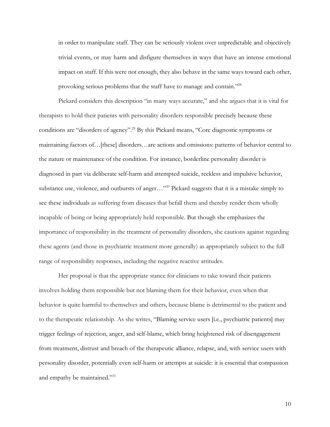in order to manipulate staff. They can be seriously violent over unpredictable and objectively trivial events, or may harm and disfigure themselves in ways that have an intense emotional impact on staff. If this were not enough, they also behave in the same ways toward each other, provoking serious problems that the staff have to manage and contain."28

Pickard considers this description "in many ways accurate," and she argues that it is vital for therapists to hold their patients with personality disorders responsible precisely because these conditions are "disorders of agency". <sup>29</sup> By this Pickard means, "Core diagnostic symptoms or maintaining factors of…[these] disorders…are actions and omissions: patterns of behavior central to the nature or maintenance of the condition. For instance, borderline personality disorder is diagnosed in part via deliberate self-harm and attempted suicide, reckless and impulsive behavior, substance use, violence, and outbursts of anger..."<sup>30</sup> Pickard suggests that it is a mistake simply to see these individuals as suffering from diseases that befall them and thereby render them wholly incapable of being or being appropriately held responsible. But though she emphasizes the importance of responsibility in the treatment of personality disorders, she cautions against regarding these agents (and those in psychiatric treatment more generally) as appropriately subject to the full range of responsibility responses, including the negative reactive attitudes.

Her proposal is that the appropriate stance for clinicians to take toward their patients involves holding them responsible but not blaming them for their behavior, even when that behavior is quite harmful to themselves and others, because blame is detrimental to the patient and to the therapeutic relationship. As she writes, "Blaming service users [i.e., psychiatric patients] may trigger feelings of rejection, anger, and self-blame, which bring heightened risk of disengagement from treatment, distrust and breach of the therapeutic alliance, relapse, and, with service users with personality disorder, potentially even self-harm or attempts at suicide: it is essential that compassion and empathy be maintained."31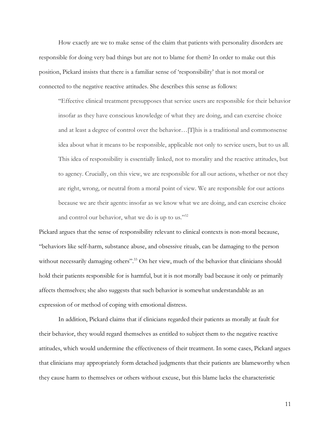How exactly are we to make sense of the claim that patients with personality disorders are responsible for doing very bad things but are not to blame for them? In order to make out this position, Pickard insists that there is a familiar sense of 'responsibility' that is not moral or connected to the negative reactive attitudes. She describes this sense as follows:

"Effective clinical treatment presupposes that service users are responsible for their behavior insofar as they have conscious knowledge of what they are doing, and can exercise choice and at least a degree of control over the behavior…[T]his is a traditional and commonsense idea about what it means to be responsible, applicable not only to service users, but to us all. This idea of responsibility is essentially linked, not to morality and the reactive attitudes, but to agency. Crucially, on this view, we are responsible for all our actions, whether or not they are right, wrong, or neutral from a moral point of view. We are responsible for our actions because we are their agents: insofar as we know what we are doing, and can exercise choice and control our behavior, what we do is up to us."32

Pickard argues that the sense of responsibility relevant to clinical contexts is non-moral because, "behaviors like self-harm, substance abuse, and obsessive rituals, can be damaging to the person without necessarily damaging others".<sup>33</sup> On her view, much of the behavior that clinicians should hold their patients responsible for is harmful, but it is not morally bad because it only or primarily affects themselves; she also suggests that such behavior is somewhat understandable as an expression of or method of coping with emotional distress.

In addition, Pickard claims that if clinicians regarded their patients as morally at fault for their behavior, they would regard themselves as entitled to subject them to the negative reactive attitudes, which would undermine the effectiveness of their treatment. In some cases, Pickard argues that clinicians may appropriately form detached judgments that their patients are blameworthy when they cause harm to themselves or others without excuse, but this blame lacks the characteristic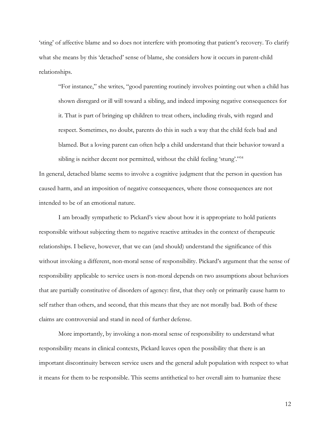'sting' of affective blame and so does not interfere with promoting that patient's recovery. To clarify what she means by this 'detached' sense of blame, she considers how it occurs in parent-child relationships.

"For instance," she writes, "good parenting routinely involves pointing out when a child has shown disregard or ill will toward a sibling, and indeed imposing negative consequences for it. That is part of bringing up children to treat others, including rivals, with regard and respect. Sometimes, no doubt, parents do this in such a way that the child feels bad and blamed. But a loving parent can often help a child understand that their behavior toward a sibling is neither decent nor permitted, without the child feeling 'stung'."<sup>34</sup>

In general, detached blame seems to involve a cognitive judgment that the person in question has caused harm, and an imposition of negative consequences, where those consequences are not intended to be of an emotional nature.

I am broadly sympathetic to Pickard's view about how it is appropriate to hold patients responsible without subjecting them to negative reactive attitudes in the context of therapeutic relationships. I believe, however, that we can (and should) understand the significance of this without invoking a different, non-moral sense of responsibility. Pickard's argument that the sense of responsibility applicable to service users is non-moral depends on two assumptions about behaviors that are partially constitutive of disorders of agency: first, that they only or primarily cause harm to self rather than others, and second, that this means that they are not morally bad. Both of these claims are controversial and stand in need of further defense.

More importantly, by invoking a non-moral sense of responsibility to understand what responsibility means in clinical contexts, Pickard leaves open the possibility that there is an important discontinuity between service users and the general adult population with respect to what it means for them to be responsible. This seems antithetical to her overall aim to humanize these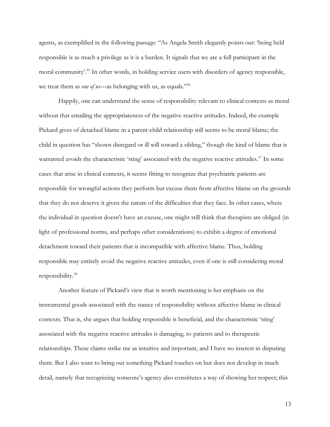agents, as exemplified in the following passage: "As Angela Smith elegantly points out: 'being held responsible is as much a privilege as it is a burden. It signals that we are a full participant in the moral community'.<sup>35</sup> In other words, in holding service users with disorders of agency responsible, we treat them as *one of us*—as belonging with us, as equals."36

Happily, one can understand the sense of responsibility relevant to clinical contexts as moral without that entailing the appropriateness of the negative reactive attitudes. Indeed, the example Pickard gives of detached blame in a parent-child relationship still seems to be moral blame; the child in question has "shown disregard or ill will toward a sibling," though the kind of blame that is warranted avoids the characteristic 'sting' associated with the negative reactive attitudes.<sup>37</sup> In some cases that arise in clinical contexts, it seems fitting to recognize that psychiatric patients are responsible for wrongful actions they perform but excuse them from affective blame on the grounds that they do not deserve it given the nature of the difficulties that they face. In other cases, where the individual in question doesn't have an excuse, one might still think that therapists are obliged (in light of professional norms, and perhaps other considerations) to exhibit a degree of emotional detachment toward their patients that is incompatible with affective blame. Thus, holding responsible may entirely avoid the negative reactive attitudes, even if one is still considering moral responsibility.38

Another feature of Pickard's view that is worth mentioning is her emphasis on the instrumental goods associated with the stance of responsibility without affective blame in clinical contexts. That is, she argues that holding responsible is beneficial, and the characteristic 'sting' associated with the negative reactive attitudes is damaging, to patients and to therapeutic relationships. These claims strike me as intuitive and important, and I have no interest in disputing them. But I also want to bring out something Pickard touches on but does not develop in much detail, namely that recognizing someone's agency also constitutes a way of showing her respect; this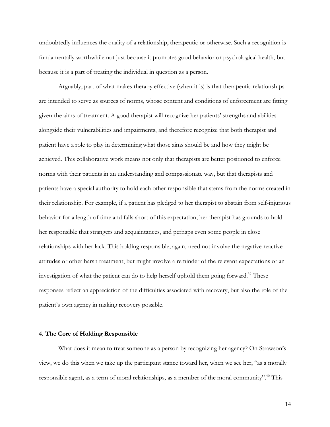undoubtedly influences the quality of a relationship, therapeutic or otherwise. Such a recognition is fundamentally worthwhile not just because it promotes good behavior or psychological health, but because it is a part of treating the individual in question as a person.

Arguably, part of what makes therapy effective (when it is) is that therapeutic relationships are intended to serve as sources of norms, whose content and conditions of enforcement are fitting given the aims of treatment. A good therapist will recognize her patients' strengths and abilities alongside their vulnerabilities and impairments, and therefore recognize that both therapist and patient have a role to play in determining what those aims should be and how they might be achieved. This collaborative work means not only that therapists are better positioned to enforce norms with their patients in an understanding and compassionate way, but that therapists and patients have a special authority to hold each other responsible that stems from the norms created in their relationship. For example, if a patient has pledged to her therapist to abstain from self-injurious behavior for a length of time and falls short of this expectation, her therapist has grounds to hold her responsible that strangers and acquaintances, and perhaps even some people in close relationships with her lack. This holding responsible, again, need not involve the negative reactive attitudes or other harsh treatment, but might involve a reminder of the relevant expectations or an investigation of what the patient can do to help herself uphold them going forward.<sup>39</sup> These responses reflect an appreciation of the difficulties associated with recovery, but also the role of the patient's own agency in making recovery possible.

#### **4. The Core of Holding Responsible**

What does it mean to treat someone as a person by recognizing her agency? On Strawson's view, we do this when we take up the participant stance toward her, when we see her, "as a morally responsible agent, as a term of moral relationships, as a member of the moral community". <sup>40</sup> This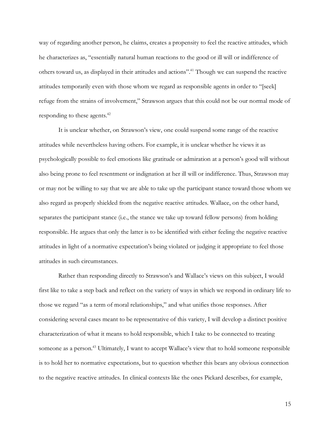way of regarding another person, he claims, creates a propensity to feel the reactive attitudes, which he characterizes as, "essentially natural human reactions to the good or ill will or indifference of others toward us, as displayed in their attitudes and actions".41 Though we can suspend the reactive attitudes temporarily even with those whom we regard as responsible agents in order to "[seek] refuge from the strains of involvement," Strawson argues that this could not be our normal mode of responding to these agents.<sup>42</sup>

It is unclear whether, on Strawson's view, one could suspend some range of the reactive attitudes while nevertheless having others. For example, it is unclear whether he views it as psychologically possible to feel emotions like gratitude or admiration at a person's good will without also being prone to feel resentment or indignation at her ill will or indifference. Thus, Strawson may or may not be willing to say that we are able to take up the participant stance toward those whom we also regard as properly shielded from the negative reactive attitudes. Wallace, on the other hand, separates the participant stance (i.e., the stance we take up toward fellow persons) from holding responsible. He argues that only the latter is to be identified with either feeling the negative reactive attitudes in light of a normative expectation's being violated or judging it appropriate to feel those attitudes in such circumstances.

Rather than responding directly to Strawson's and Wallace's views on this subject, I would first like to take a step back and reflect on the variety of ways in which we respond in ordinary life to those we regard "as a term of moral relationships," and what unifies those responses. After considering several cases meant to be representative of this variety, I will develop a distinct positive characterization of what it means to hold responsible, which I take to be connected to treating someone as a person.<sup>43</sup> Ultimately, I want to accept Wallace's view that to hold someone responsible is to hold her to normative expectations, but to question whether this bears any obvious connection to the negative reactive attitudes. In clinical contexts like the ones Pickard describes, for example,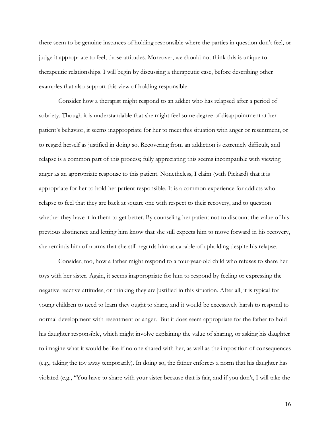there seem to be genuine instances of holding responsible where the parties in question don't feel, or judge it appropriate to feel, those attitudes. Moreover, we should not think this is unique to therapeutic relationships. I will begin by discussing a therapeutic case, before describing other examples that also support this view of holding responsible.

Consider how a therapist might respond to an addict who has relapsed after a period of sobriety. Though it is understandable that she might feel some degree of disappointment at her patient's behavior, it seems inappropriate for her to meet this situation with anger or resentment, or to regard herself as justified in doing so. Recovering from an addiction is extremely difficult, and relapse is a common part of this process; fully appreciating this seems incompatible with viewing anger as an appropriate response to this patient. Nonetheless, I claim (with Pickard) that it is appropriate for her to hold her patient responsible. It is a common experience for addicts who relapse to feel that they are back at square one with respect to their recovery, and to question whether they have it in them to get better. By counseling her patient not to discount the value of his previous abstinence and letting him know that she still expects him to move forward in his recovery, she reminds him of norms that she still regards him as capable of upholding despite his relapse.

Consider, too, how a father might respond to a four-year-old child who refuses to share her toys with her sister. Again, it seems inappropriate for him to respond by feeling or expressing the negative reactive attitudes, or thinking they are justified in this situation. After all, it is typical for young children to need to learn they ought to share, and it would be excessively harsh to respond to normal development with resentment or anger. But it does seem appropriate for the father to hold his daughter responsible, which might involve explaining the value of sharing, or asking his daughter to imagine what it would be like if no one shared with her, as well as the imposition of consequences (e.g., taking the toy away temporarily). In doing so, the father enforces a norm that his daughter has violated (e.g., "You have to share with your sister because that is fair, and if you don't, I will take the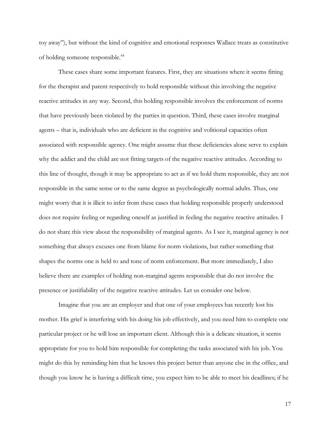toy away"), but without the kind of cognitive and emotional responses Wallace treats as constitutive of holding someone responsible.44

These cases share some important features. First, they are situations where it seems fitting for the therapist and parent respectively to hold responsible without this involving the negative reactive attitudes in any way. Second, this holding responsible involves the enforcement of norms that have previously been violated by the parties in question. Third, these cases involve marginal agents – that is, individuals who are deficient in the cognitive and volitional capacities often associated with responsible agency. One might assume that these deficiencies alone serve to explain why the addict and the child are not fitting targets of the negative reactive attitudes. According to this line of thought, though it may be appropriate to act as if we hold them responsible, they are not responsible in the same sense or to the same degree as psychologically normal adults. Thus, one might worry that it is illicit to infer from these cases that holding responsible properly understood does not require feeling or regarding oneself as justified in feeling the negative reactive attitudes. I do not share this view about the responsibility of marginal agents. As I see it, marginal agency is not something that always excuses one from blame for norm violations, but rather something that shapes the norms one is held to and tone of norm enforcement. But more immediately, I also believe there are examples of holding non-marginal agents responsible that do not involve the presence or justifiability of the negative reactive attitudes. Let us consider one below.

Imagine that you are an employer and that one of your employees has recently lost his mother. His grief is interfering with his doing his job effectively, and you need him to complete one particular project or he will lose an important client. Although this is a delicate situation, it seems appropriate for you to hold him responsible for completing the tasks associated with his job. You might do this by reminding him that he knows this project better than anyone else in the office, and though you know he is having a difficult time, you expect him to be able to meet his deadlines; if he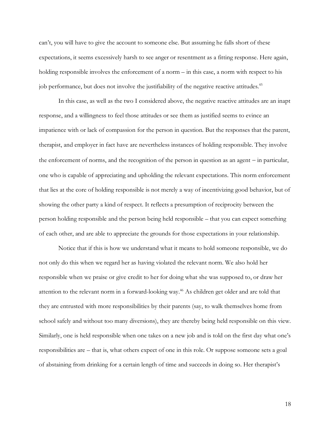can't, you will have to give the account to someone else. But assuming he falls short of these expectations, it seems excessively harsh to see anger or resentment as a fitting response. Here again, holding responsible involves the enforcement of a norm – in this case, a norm with respect to his job performance, but does not involve the justifiability of the negative reactive attitudes.<sup>45</sup>

In this case, as well as the two I considered above, the negative reactive attitudes are an inapt response, and a willingness to feel those attitudes or see them as justified seems to evince an impatience with or lack of compassion for the person in question. But the responses that the parent, therapist, and employer in fact have are nevertheless instances of holding responsible. They involve the enforcement of norms, and the recognition of the person in question as an agent – in particular, one who is capable of appreciating and upholding the relevant expectations. This norm enforcement that lies at the core of holding responsible is not merely a way of incentivizing good behavior, but of showing the other party a kind of respect. It reflects a presumption of reciprocity between the person holding responsible and the person being held responsible – that you can expect something of each other, and are able to appreciate the grounds for those expectations in your relationship.

Notice that if this is how we understand what it means to hold someone responsible, we do not only do this when we regard her as having violated the relevant norm. We also hold her responsible when we praise or give credit to her for doing what she was supposed to, or draw her attention to the relevant norm in a forward-looking way.46 As children get older and are told that they are entrusted with more responsibilities by their parents (say, to walk themselves home from school safely and without too many diversions), they are thereby being held responsible on this view. Similarly, one is held responsible when one takes on a new job and is told on the first day what one's responsibilities are – that is, what others expect of one in this role. Or suppose someone sets a goal of abstaining from drinking for a certain length of time and succeeds in doing so. Her therapist's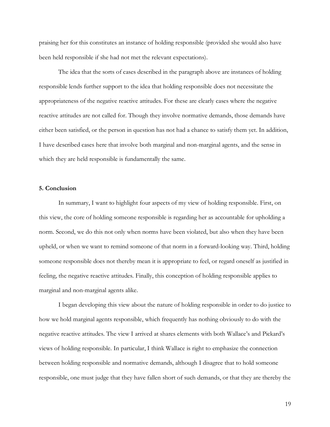praising her for this constitutes an instance of holding responsible (provided she would also have been held responsible if she had not met the relevant expectations).

The idea that the sorts of cases described in the paragraph above are instances of holding responsible lends further support to the idea that holding responsible does not necessitate the appropriateness of the negative reactive attitudes. For these are clearly cases where the negative reactive attitudes are not called for. Though they involve normative demands, those demands have either been satisfied, or the person in question has not had a chance to satisfy them yet. In addition, I have described cases here that involve both marginal and non-marginal agents, and the sense in which they are held responsible is fundamentally the same.

### **5. Conclusion**

In summary, I want to highlight four aspects of my view of holding responsible. First, on this view, the core of holding someone responsible is regarding her as accountable for upholding a norm. Second, we do this not only when norms have been violated, but also when they have been upheld, or when we want to remind someone of that norm in a forward-looking way. Third, holding someone responsible does not thereby mean it is appropriate to feel, or regard oneself as justified in feeling, the negative reactive attitudes. Finally, this conception of holding responsible applies to marginal and non-marginal agents alike.

I began developing this view about the nature of holding responsible in order to do justice to how we hold marginal agents responsible, which frequently has nothing obviously to do with the negative reactive attitudes. The view I arrived at shares elements with both Wallace's and Pickard's views of holding responsible. In particular, I think Wallace is right to emphasize the connection between holding responsible and normative demands, although I disagree that to hold someone responsible, one must judge that they have fallen short of such demands, or that they are thereby the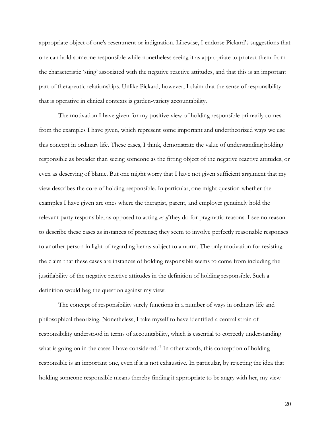appropriate object of one's resentment or indignation. Likewise, I endorse Pickard's suggestions that one can hold someone responsible while nonetheless seeing it as appropriate to protect them from the characteristic 'sting' associated with the negative reactive attitudes, and that this is an important part of therapeutic relationships. Unlike Pickard, however, I claim that the sense of responsibility that is operative in clinical contexts is garden-variety accountability.

The motivation I have given for my positive view of holding responsible primarily comes from the examples I have given, which represent some important and undertheorized ways we use this concept in ordinary life. These cases, I think, demonstrate the value of understanding holding responsible as broader than seeing someone as the fitting object of the negative reactive attitudes, or even as deserving of blame. But one might worry that I have not given sufficient argument that my view describes the core of holding responsible. In particular, one might question whether the examples I have given are ones where the therapist, parent, and employer genuinely hold the relevant party responsible, as opposed to acting *as if* they do for pragmatic reasons. I see no reason to describe these cases as instances of pretense; they seem to involve perfectly reasonable responses to another person in light of regarding her as subject to a norm. The only motivation for resisting the claim that these cases are instances of holding responsible seems to come from including the justifiability of the negative reactive attitudes in the definition of holding responsible. Such a definition would beg the question against my view.

The concept of responsibility surely functions in a number of ways in ordinary life and philosophical theorizing. Nonetheless, I take myself to have identified a central strain of responsibility understood in terms of accountability, which is essential to correctly understanding what is going on in the cases I have considered.<sup> $47$ </sup> In other words, this conception of holding responsible is an important one, even if it is not exhaustive. In particular, by rejecting the idea that holding someone responsible means thereby finding it appropriate to be angry with her, my view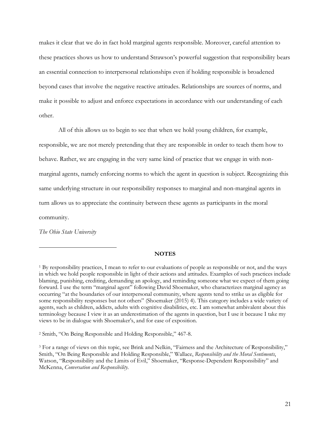makes it clear that we do in fact hold marginal agents responsible. Moreover, careful attention to these practices shows us how to understand Strawson's powerful suggestion that responsibility bears an essential connection to interpersonal relationships even if holding responsible is broadened beyond cases that involve the negative reactive attitudes. Relationships are sources of norms, and make it possible to adjust and enforce expectations in accordance with our understanding of each other.

All of this allows us to begin to see that when we hold young children, for example, responsible, we are not merely pretending that they are responsible in order to teach them how to behave. Rather, we are engaging in the very same kind of practice that we engage in with nonmarginal agents, namely enforcing norms to which the agent in question is subject. Recognizing this same underlying structure in our responsibility responses to marginal and non-marginal agents in turn allows us to appreciate the continuity between these agents as participants in the moral community.

*The Ohio State University*

 $\overline{a}$ 

### **NOTES**

<sup>2</sup> Smith, "On Being Responsible and Holding Responsible," 467-8.

<sup>1</sup> By responsibility practices, I mean to refer to our evaluations of people as responsible or not, and the ways in which we hold people responsible in light of their actions and attitudes. Examples of such practices include blaming, punishing, crediting, demanding an apology, and reminding someone what we expect of them going forward. I use the term "marginal agent" following David Shoemaker, who characterizes marginal agency as occurring "at the boundaries of our interpersonal community, where agents tend to strike us as eligible for some responsibility responses but not others" (Shoemaker (2015) 4). This category includes a wide variety of agents, such as children, addicts, adults with cognitive disabilities, etc. I am somewhat ambivalent about this terminology because I view it as an underestimation of the agents in question, but I use it because I take my views to be in dialogue with Shoemaker's, and for ease of exposition.

<sup>3</sup> For a range of views on this topic, see Brink and Nelkin, "Fairness and the Architecture of Responsibility," Smith, "On Being Responsible and Holding Responsible," Wallace, *Responsibility and the Moral Sentiments*, Watson, "Responsibility and the Limits of Evil," Shoemaker, "Response-Dependent Responsibility" and McKenna, *Conversation and Responsibility*.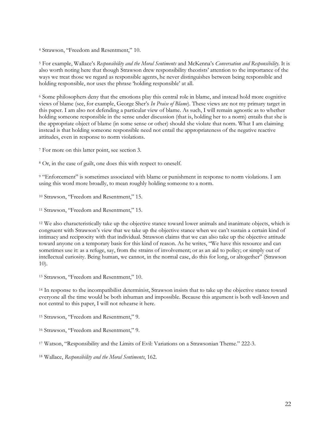<sup>4</sup> Strawson, "Freedom and Resentment," 10.

<sup>5</sup> For example, Wallace's *Responsibility and the Moral Sentiments* and McKenna's *Conversation and Responsibility*. It is also worth noting here that though Strawson drew responsibility theorists' attention to the importance of the ways we treat those we regard as responsible agents, he never distinguishes between being responsible and holding responsible, nor uses the phrase 'holding responsible' at all.

<sup>6</sup> Some philosophers deny that the emotions play this central role in blame, and instead hold more cognitive views of blame (see, for example, George Sher's *In Praise of Blame*). These views are not my primary target in this paper. I am also not defending a particular view of blame. As such, I will remain agnostic as to whether holding someone responsible in the sense under discussion (that is, holding her to a norm) entails that she is the appropriate object of blame (in some sense or other) should she violate that norm. What I am claiming instead is that holding someone responsible need not entail the appropriateness of the negative reactive attitudes, even in response to norm violations.

<sup>7</sup> For more on this latter point, see section 3.

<sup>8</sup> Or, in the case of guilt, one does this with respect to oneself.

<sup>9</sup> "Enforcement" is sometimes associated with blame or punishment in response to norm violations. I am using this word more broadly, to mean roughly holding someone to a norm.

<sup>10</sup> Strawson, "Freedom and Resentment," 15.

<sup>11</sup> Strawson, "Freedom and Resentment," 15.

<sup>12</sup> We also characteristically take up the objective stance toward lower animals and inanimate objects, which is congruent with Strawson's view that we take up the objective stance when we can't sustain a certain kind of intimacy and reciprocity with that individual. Strawson claims that we can also take up the objective attitude toward anyone on a temporary basis for this kind of reason. As he writes, "We have this resource and can sometimes use it: as a refuge, say, from the strains of involvement; or as an aid to policy; or simply out of intellectual curiosity. Being human, we cannot, in the normal case, do this for long, or altogether" (Strawson 10).

<sup>13</sup> Strawson, "Freedom and Resentment," 10.

<sup>14</sup> In response to the incompatibilist determinist, Strawson insists that to take up the objective stance toward everyone all the time would be both inhuman and impossible. Because this argument is both well-known and not central to this paper, I will not rehearse it here.

<sup>15</sup> Strawson, "Freedom and Resentment," 9.

<sup>16</sup> Strawson, "Freedom and Resentment," 9.

<sup>17</sup> Watson, "Responsibility and the Limits of Evil: Variations on a Strawsonian Theme." 222-3.

<sup>18</sup> Wallace, *Responsibility and the Moral Sentiments*, 162.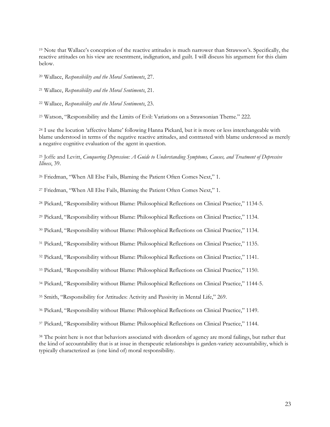Note that Wallace's conception of the reactive attitudes is much narrower than Strawson's. Specifically, the reactive attitudes on his view are resentment, indignation, and guilt. I will discuss his argument for this claim below.

Wallace, *Responsibility and the Moral Sentiments*, 27.

Wallace, *Responsibility and the Moral Sentiments*, 21.

Wallace, *Responsibility and the Moral Sentiments*, 23.

Watson, "Responsibility and the Limits of Evil: Variations on a Strawsonian Theme." 222.

 I use the locution 'affective blame' following Hanna Pickard, but it is more or less interchangeable with blame understood in terms of the negative reactive attitudes, and contrasted with blame understood as merely a negative cognitive evaluation of the agent in question.

 Joffe and Levitt, *Conquering Depression: A Guide to Understanding Symptoms, Causes, and Treatment of Depressive Illness*, 39.

Friedman, "When All Else Fails, Blaming the Patient Often Comes Next," 1.

Friedman, "When All Else Fails, Blaming the Patient Often Comes Next," 1.

Pickard, "Responsibility without Blame: Philosophical Reflections on Clinical Practice," 1134-5.

Pickard, "Responsibility without Blame: Philosophical Reflections on Clinical Practice," 1134.

Pickard, "Responsibility without Blame: Philosophical Reflections on Clinical Practice," 1134.

Pickard, "Responsibility without Blame: Philosophical Reflections on Clinical Practice," 1135.

Pickard, "Responsibility without Blame: Philosophical Reflections on Clinical Practice," 1141.

Pickard, "Responsibility without Blame: Philosophical Reflections on Clinical Practice," 1150.

Pickard, "Responsibility without Blame: Philosophical Reflections on Clinical Practice," 1144-5.

Smith, "Responsibility for Attitudes: Activity and Passivity in Mental Life," 269.

Pickard, "Responsibility without Blame: Philosophical Reflections on Clinical Practice," 1149.

Pickard, "Responsibility without Blame: Philosophical Reflections on Clinical Practice," 1144.

 The point here is not that behaviors associated with disorders of agency are moral failings, but rather that the kind of accountability that is at issue in therapeutic relationships is garden-variety accountability, which is typically characterized as (one kind of) moral responsibility.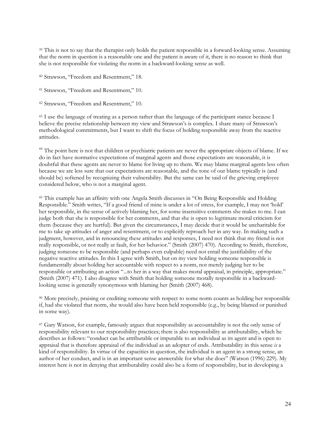<sup>39</sup> This is not to say that the therapist only holds the patient responsible in a forward-looking sense. Assuming that the norm in question is a reasonable one and the patient is aware of it, there is no reason to think that she is not responsible for violating the norm in a backward-looking sense as well.

<sup>40</sup> Strawson, "Freedom and Resentment," 18.

<sup>41</sup> Strawson, "Freedom and Resentment," 10.

<sup>42</sup> Strawson, "Freedom and Resentment," 10.

<sup>43</sup> I use the language of treating as a person rather than the language of the participant stance because I believe the precise relationship between my view and Strawson's is complex. I share many of Strawson's methodological commitments, but I want to shift the focus of holding responsible away from the reactive attitudes.

<sup>44</sup> The point here is not that children or psychiatric patients are never the appropriate objects of blame. If we do in fact have normative expectations of marginal agents and those expectations are reasonable, it is doubtful that these agents are never to blame for living up to them. We may blame marginal agents less often because we are less sure that our expectations are reasonable, and the tone of our blame typically is (and should be) softened by recognizing their vulnerability. But the same can be said of the grieving employee considered below, who is not a marginal agent.

<sup>45</sup> This example has an affinity with one Angela Smith discusses in "On Being Responsible and Holding Responsible." Smith writes, "If a good friend of mine is under a lot of stress, for example, I may not 'hold' her responsible, in the sense of actively blaming her, for some insensitive comments she makes to me. I can judge both that she is responsible for her comments, and that she is open to legitimate moral criticism for them (because they are hurtful). But given the circumstances, I may decide that it would be uncharitable for me to take up attitudes of anger and resentment, or to explicitly reproach her in any way. In making such a judgment, however, and in renouncing these attitudes and responses, I need not think that my friend is not really responsible, or not really at fault, for her behavior." (Smith (2007) 470). According to Smith, therefore, judging someone to be responsible (and perhaps even culpable) need not entail the justifiability of the negative reactive attitudes. In this I agree with Smith, but on my view holding someone responsible is fundamentally about holding her accountable with respect to a norm, not merely judging her to be responsible or attributing an action "...to her in a way that makes moral appraisal, in principle, appropriate." (Smith (2007) 471). I also disagree with Smith that holding someone morally responsible in a backwardlooking sense is generally synonymous with blaming her (Smith (2007) 468).

<sup>46</sup> More precisely, praising or crediting someone with respect to some norm counts as holding her responsible if, had she violated that norm, she would also have been held responsible (e.g., by being blamed or punished in some way).

<sup>47</sup> Gary Watson, for example, famously argues that responsibility as accountability is not the only sense of responsibility relevant to our responsibility practices; there is also responsibility as attributability, which he describes as follows: "conduct can be attributable or imputable to an individual as its agent and is open to appraisal that is therefore appraisal of the individual as an adopter of ends. Attributability in this sense *is* a kind of responsibility. In virtue of the capacities in question, the individual is an agent in a strong sense, an author of her conduct, and is in an important sense answerable for what she does" (Watson (1996) 229). My interest here is not in denying that attributability could also be a form of responsibility, but in developing a